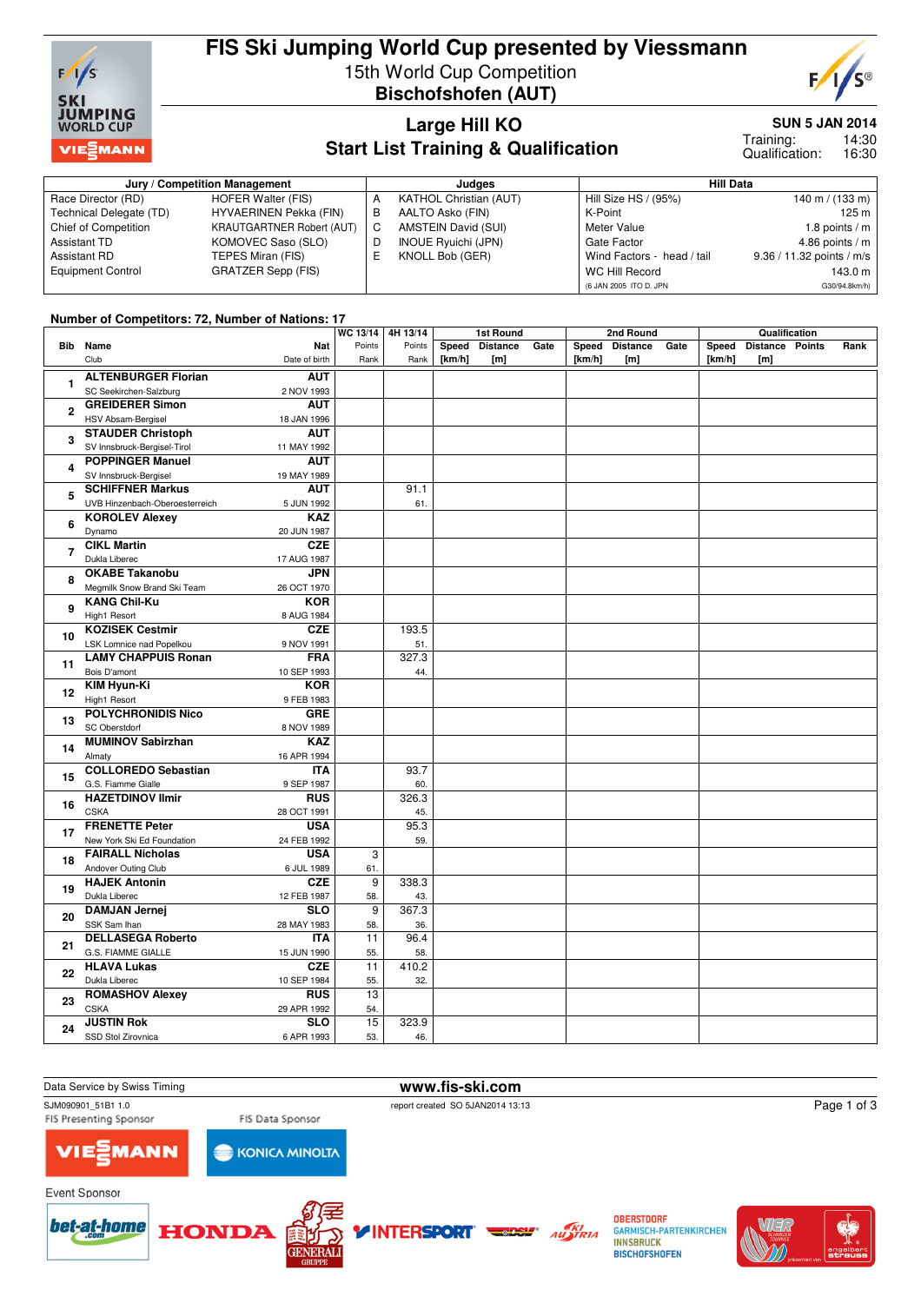

## **FIS Ski Jumping World Cup presented by Viessmann** 15th World Cup Competition **Bischofshofen (AUT)**



#### **Large Hill KO Start List Training & Qualification**

**SUN 5 JAN 2014**

14:30 16:30 Training: Qualification:

|                          | Jury / Competition Management    |   | Judaes                        | <b>Hill Data</b>           |                           |  |  |
|--------------------------|----------------------------------|---|-------------------------------|----------------------------|---------------------------|--|--|
| Race Director (RD)       | HOFER Walter (FIS)               |   | <b>KATHOL Christian (AUT)</b> | Hill Size HS / (95%)       | 140 m / $(133 m)$         |  |  |
| Technical Delegate (TD)  | <b>HYVAERINEN Pekka (FIN)</b>    | в | AALTO Asko (FIN)              | K-Point                    | 125 m                     |  |  |
| Chief of Competition     | <b>KRAUTGARTNER Robert (AUT)</b> | С | AMSTEIN David (SUI)           | Meter Value                | 1.8 points $/m$           |  |  |
| <b>Assistant TD</b>      | KOMOVEC Saso (SLO)               | D | <b>INOUE Ryuichi (JPN)</b>    | Gate Factor                | 4.86 points $/m$          |  |  |
| Assistant RD             | TEPES Miran (FIS)                |   | KNOLL Bob (GER)               | Wind Factors - head / tail | 9.36 / 11.32 points / m/s |  |  |
| <b>Equipment Control</b> | <b>GRATZER Sepp (FIS)</b>        |   |                               | <b>WC Hill Record</b>      | 143.0 m                   |  |  |
|                          |                                  |   |                               | (6 JAN 2005 ITO D. JPN     | G30/94.8km/h)             |  |  |

#### **Number of Competitors: 72, Number of Nations: 17**

|                |                                               | WC 13/14   4H 13/14 |        | 1st Round |                 | 2nd Round |        |                | Qualification |        |                 |  |      |
|----------------|-----------------------------------------------|---------------------|--------|-----------|-----------------|-----------|--------|----------------|---------------|--------|-----------------|--|------|
|                | <b>Bib</b> Name<br><b>Nat</b>                 | Points              | Points | Speed     | <b>Distance</b> | Gate      |        | Speed Distance | Gate          | Speed  | Distance Points |  | Rank |
|                | Club<br>Date of birth                         | Rank                | Rank   | [km/h]    | [m]             |           | [km/h] | [m]            |               | [km/h] | [m]             |  |      |
|                | <b>ALTENBURGER Florian</b>                    |                     |        |           |                 |           |        |                |               |        |                 |  |      |
| $\mathbf{1}$   | <b>AUT</b>                                    |                     |        |           |                 |           |        |                |               |        |                 |  |      |
|                | SC Seekirchen-Salzburg<br>2 NOV 1993          |                     |        |           |                 |           |        |                |               |        |                 |  |      |
| $\mathbf{2}$   | <b>GREIDERER Simon</b><br><b>AUT</b>          |                     |        |           |                 |           |        |                |               |        |                 |  |      |
|                | HSV Absam-Bergisel<br>18 JAN 1996             |                     |        |           |                 |           |        |                |               |        |                 |  |      |
| 3              | <b>STAUDER Christoph</b><br><b>AUT</b>        |                     |        |           |                 |           |        |                |               |        |                 |  |      |
|                | SV Innsbruck-Bergisel-Tirol<br>11 MAY 1992    |                     |        |           |                 |           |        |                |               |        |                 |  |      |
|                | <b>POPPINGER Manuel</b><br><b>AUT</b>         |                     |        |           |                 |           |        |                |               |        |                 |  |      |
| 4              | SV Innsbruck-Bergisel<br>19 MAY 1989          |                     |        |           |                 |           |        |                |               |        |                 |  |      |
|                | <b>SCHIFFNER Markus</b><br><b>AUT</b>         |                     | 91.1   |           |                 |           |        |                |               |        |                 |  |      |
| 5              | UVB Hinzenbach-Oberoesterreich<br>5 JUN 1992  |                     | 61.    |           |                 |           |        |                |               |        |                 |  |      |
|                | <b>KOROLEV Alexev</b><br><b>KAZ</b>           |                     |        |           |                 |           |        |                |               |        |                 |  |      |
| 6              | Dynamo<br>20 JUN 1987                         |                     |        |           |                 |           |        |                |               |        |                 |  |      |
|                | <b>CIKL Martin</b><br><b>CZE</b>              |                     |        |           |                 |           |        |                |               |        |                 |  |      |
| $\overline{7}$ |                                               |                     |        |           |                 |           |        |                |               |        |                 |  |      |
|                | Dukla Liberec<br>17 AUG 1987                  |                     |        |           |                 |           |        |                |               |        |                 |  |      |
| 8              | <b>OKABE Takanobu</b><br><b>JPN</b>           |                     |        |           |                 |           |        |                |               |        |                 |  |      |
|                | Megmilk Snow Brand Ski Team<br>26 OCT 1970    |                     |        |           |                 |           |        |                |               |        |                 |  |      |
| 9              | <b>KANG Chil-Ku</b><br><b>KOR</b>             |                     |        |           |                 |           |        |                |               |        |                 |  |      |
|                | High1 Resort<br>8 AUG 1984                    |                     |        |           |                 |           |        |                |               |        |                 |  |      |
|                | <b>KOZISEK Cestmir</b><br><b>CZE</b>          |                     | 193.5  |           |                 |           |        |                |               |        |                 |  |      |
| 10             | <b>LSK Lomnice nad Popelkou</b><br>9 NOV 1991 |                     | 51.    |           |                 |           |        |                |               |        |                 |  |      |
| 11<br>12       | <b>LAMY CHAPPUIS Ronan</b><br><b>FRA</b>      |                     | 327.3  |           |                 |           |        |                |               |        |                 |  |      |
|                | Bois D'amont<br>10 SEP 1993                   |                     | 44.    |           |                 |           |        |                |               |        |                 |  |      |
|                | <b>KIM Hyun-Ki</b><br><b>KOR</b>              |                     |        |           |                 |           |        |                |               |        |                 |  |      |
|                |                                               |                     |        |           |                 |           |        |                |               |        |                 |  |      |
|                | High1 Resort<br>9 FEB 1983                    |                     |        |           |                 |           |        |                |               |        |                 |  |      |
| 13             | <b>POLYCHRONIDIS Nico</b><br><b>GRE</b>       |                     |        |           |                 |           |        |                |               |        |                 |  |      |
|                | SC Oberstdorf<br>8 NOV 1989                   |                     |        |           |                 |           |        |                |               |        |                 |  |      |
| 14             | <b>MUMINOV Sabirzhan</b><br><b>KAZ</b>        |                     |        |           |                 |           |        |                |               |        |                 |  |      |
|                | Almaty<br>16 APR 1994                         |                     |        |           |                 |           |        |                |               |        |                 |  |      |
| 15             | <b>COLLOREDO Sebastian</b><br><b>ITA</b>      |                     | 93.7   |           |                 |           |        |                |               |        |                 |  |      |
|                | G.S. Fiamme Gialle<br>9 SEP 1987              |                     | 60.    |           |                 |           |        |                |               |        |                 |  |      |
|                | <b>HAZETDINOV Ilmir</b><br><b>RUS</b>         |                     | 326.3  |           |                 |           |        |                |               |        |                 |  |      |
| 16             | <b>CSKA</b><br>28 OCT 1991                    |                     | 45.    |           |                 |           |        |                |               |        |                 |  |      |
|                | <b>USA</b><br><b>FRENETTE Peter</b>           |                     | 95.3   |           |                 |           |        |                |               |        |                 |  |      |
| 17             | New York Ski Ed Foundation<br>24 FEB 1992     |                     | 59.    |           |                 |           |        |                |               |        |                 |  |      |
|                | <b>USA</b><br><b>FAIRALL Nicholas</b>         | $\overline{3}$      |        |           |                 |           |        |                |               |        |                 |  |      |
| 18             | Andover Outing Club<br>6 JUL 1989             | 61.                 |        |           |                 |           |        |                |               |        |                 |  |      |
|                | <b>HAJEK Antonin</b><br><b>CZE</b>            | 9                   | 338.3  |           |                 |           |        |                |               |        |                 |  |      |
| 19             |                                               |                     |        |           |                 |           |        |                |               |        |                 |  |      |
|                | Dukla Liberec<br>12 FEB 1987                  | 58.                 | 43.    |           |                 |           |        |                |               |        |                 |  |      |
| 20             | <b>DAMJAN Jernej</b><br><b>SLO</b>            | $\overline{9}$      | 367.3  |           |                 |           |        |                |               |        |                 |  |      |
|                | SSK Sam Ihan<br>28 MAY 1983                   | 58.                 | 36.    |           |                 |           |        |                |               |        |                 |  |      |
| 21             | <b>DELLASEGA Roberto</b><br><b>ITA</b>        | $\overline{11}$     | 96.4   |           |                 |           |        |                |               |        |                 |  |      |
|                | G.S. FIAMME GIALLE<br>15 JUN 1990             | 55.                 | 58.    |           |                 |           |        |                |               |        |                 |  |      |
|                | <b>HLAVA Lukas</b><br><b>CZE</b>              | 11                  | 410.2  |           |                 |           |        |                |               |        |                 |  |      |
| 22             | Dukla Liberec<br>10 SEP 1984                  | 55.                 | 32.    |           |                 |           |        |                |               |        |                 |  |      |
|                | <b>ROMASHOV Alexey</b><br><b>RUS</b>          | 13                  |        |           |                 |           |        |                |               |        |                 |  |      |
| 23             | <b>CSKA</b><br>29 APR 1992                    | 54.                 |        |           |                 |           |        |                |               |        |                 |  |      |
|                | <b>JUSTIN Rok</b><br><b>SLO</b>               | 15                  | 323.9  |           |                 |           |        |                |               |        |                 |  |      |
| 24             | SSD Stol Zirovnica<br>6 APR 1993              | 53.                 | 46.    |           |                 |           |        |                |               |        |                 |  |      |
|                |                                               |                     |        |           |                 |           |        |                |               |        |                 |  |      |

Data Service by Swiss Timing **www.fis-ski.com**<br>
SJM090901 51B1 1.0<br>
webort created SO 5JAN2014 13:

FIS Presenting Sponsor

**INTERSPORT** 

report created SO 5JAN2014 13:13

Page 1 of 3

**MANN** 71 E

**KONICA MINOLTA** 

FIS Data Sponsor







**OBERSTDORF GARMISCH-PARTENKIRCHEN INNSBRUCK BISCHOFSHOFEN** 

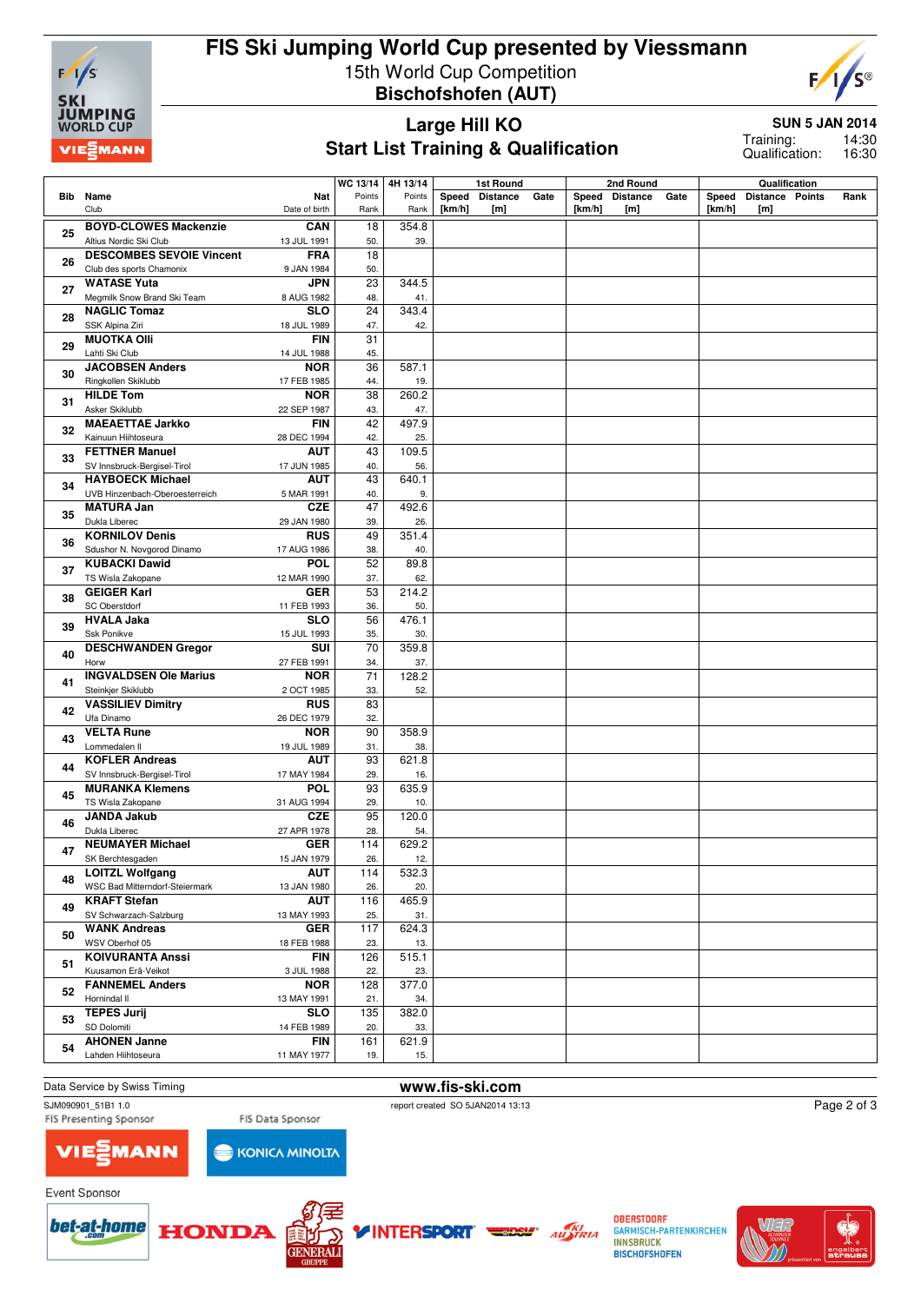

# **FIS Ski Jumping World Cup presented by Viessmann** 15th World Cup Competition **Bischofshofen (AUT)**



### **Large Hill KO Start List Training & Qualification**

**SUN 5 JAN 2014**

14:30 16:30 Training: Qualification:

|     | WC 13/14<br>4H 13/14                                                              |            | 1st Round    |        |                 | 2nd Round |        |                | Qualification |        |                 |  |      |
|-----|-----------------------------------------------------------------------------------|------------|--------------|--------|-----------------|-----------|--------|----------------|---------------|--------|-----------------|--|------|
| Bib | Name<br>Nat                                                                       | Points     | Points       | Speed  | <b>Distance</b> | Gate      |        | Speed Distance | Gate          | Speed  | Distance Points |  | Rank |
|     | Club<br>Date of birth                                                             | Rank       | Rank         | [km/h] | [m]             |           | [km/h] | [m]            |               | [km/h] | [m]             |  |      |
|     | <b>BOYD-CLOWES Mackenzie</b><br>CAN                                               | 18         | 354.8        |        |                 |           |        |                |               |        |                 |  |      |
| 25  | Altius Nordic Ski Club<br>13 JUL 1991                                             | 50.        | 39.          |        |                 |           |        |                |               |        |                 |  |      |
|     | <b>DESCOMBES SEVOIE Vincent</b><br><b>FRA</b>                                     | 18         |              |        |                 |           |        |                |               |        |                 |  |      |
| 26  | Club des sports Chamonix<br>9 JAN 1984                                            | 50.        |              |        |                 |           |        |                |               |        |                 |  |      |
|     | <b>WATASE Yuta</b><br><b>JPN</b>                                                  | 23         | 344.5        |        |                 |           |        |                |               |        |                 |  |      |
| 27  | Megmilk Snow Brand Ski Team<br>8 AUG 1982                                         | 48.        | 41.          |        |                 |           |        |                |               |        |                 |  |      |
| 28  | <b>NAGLIC Tomaz</b><br><b>SLO</b>                                                 | 24         | 343.4        |        |                 |           |        |                |               |        |                 |  |      |
|     | SSK Alpina Ziri<br>18 JUL 1989                                                    | 47.        | 42.          |        |                 |           |        |                |               |        |                 |  |      |
| 29  | <b>MUOTKA Olli</b><br><b>FIN</b>                                                  | 31         |              |        |                 |           |        |                |               |        |                 |  |      |
|     | Lahti Ski Club<br>14 JUL 1988                                                     | 45.        |              |        |                 |           |        |                |               |        |                 |  |      |
| 30  | <b>JACOBSEN Anders</b><br><b>NOR</b>                                              | 36         | 587.1        |        |                 |           |        |                |               |        |                 |  |      |
|     | Ringkollen Skiklubb<br>17 FEB 1985                                                | 44.        | 19.          |        |                 |           |        |                |               |        |                 |  |      |
| 31  | <b>HILDE Tom</b><br><b>NOR</b>                                                    | 38         | 260.2        |        |                 |           |        |                |               |        |                 |  |      |
|     | Asker Skiklubb<br>22 SEP 1987                                                     | 43.<br>42  | 47.          |        |                 |           |        |                |               |        |                 |  |      |
| 32  | <b>MAEAETTAE Jarkko</b><br><b>FIN</b><br>Kainuun Hiihtoseura                      |            | 497.9        |        |                 |           |        |                |               |        |                 |  |      |
|     | 28 DEC 1994<br><b>FETTNER Manuel</b><br><b>AUT</b>                                | 42.<br>43  | 25.<br>109.5 |        |                 |           |        |                |               |        |                 |  |      |
| 33  | SV Innsbruck-Bergisel-Tirol<br>17 JUN 1985                                        | 40.        | 56.          |        |                 |           |        |                |               |        |                 |  |      |
|     | <b>HAYBOECK Michael</b><br><b>AUT</b>                                             | 43         | 640.1        |        |                 |           |        |                |               |        |                 |  |      |
| 34  | UVB Hinzenbach-Oberoesterreich<br>5 MAR 1991                                      | 40.        | 9.           |        |                 |           |        |                |               |        |                 |  |      |
|     | <b>MATURA Jan</b><br><b>CZE</b>                                                   | 47         | 492.6        |        |                 |           |        |                |               |        |                 |  |      |
| 35  | Dukla Liberec<br>29 JAN 1980                                                      | 39.        | 26.          |        |                 |           |        |                |               |        |                 |  |      |
| 36  | <b>KORNILOV Denis</b><br><b>RUS</b>                                               | 49         | 351.4        |        |                 |           |        |                |               |        |                 |  |      |
|     | Sdushor N. Novgorod Dinamo<br>17 AUG 1986                                         | 38.        | 40.          |        |                 |           |        |                |               |        |                 |  |      |
| 37  | <b>POL</b><br><b>KUBACKI Dawid</b>                                                | 52         | 89.8         |        |                 |           |        |                |               |        |                 |  |      |
|     | TS Wisla Zakopane<br>12 MAR 1990                                                  | 37.        | 62.          |        |                 |           |        |                |               |        |                 |  |      |
| 38  | <b>GEIGER Karl</b><br><b>GER</b>                                                  | 53         | 214.2        |        |                 |           |        |                |               |        |                 |  |      |
|     | <b>SC Oberstdorf</b><br>11 FEB 1993                                               | 36.        | 50.          |        |                 |           |        |                |               |        |                 |  |      |
| 39  | <b>HVALA Jaka</b><br><b>SLO</b><br>Ssk Ponikve<br>15 JUL 1993                     | 56<br>35.  | 476.1<br>30. |        |                 |           |        |                |               |        |                 |  |      |
|     | <b>DESCHWANDEN Gregor</b><br>SUI                                                  | 70         | 359.8        |        |                 |           |        |                |               |        |                 |  |      |
| 40  | Horw<br>27 FEB 1991                                                               | 34.        | 37.          |        |                 |           |        |                |               |        |                 |  |      |
|     | <b>INGVALDSEN Ole Marius</b><br><b>NOR</b>                                        | 71         | 128.2        |        |                 |           |        |                |               |        |                 |  |      |
| 41  | Steinkjer Skiklubb<br>2 OCT 1985                                                  | 33.        | 52.          |        |                 |           |        |                |               |        |                 |  |      |
| 42  | <b>VASSILIEV Dimitry</b><br><b>RUS</b>                                            | 83         |              |        |                 |           |        |                |               |        |                 |  |      |
|     | Ufa Dinamo<br>26 DEC 1979                                                         | 32.        |              |        |                 |           |        |                |               |        |                 |  |      |
| 43  | <b>VELTA Rune</b><br><b>NOR</b>                                                   | 90         | 358.9        |        |                 |           |        |                |               |        |                 |  |      |
|     | Lommedalen II<br>19 JUL 1989                                                      | 31.        | 38.          |        |                 |           |        |                |               |        |                 |  |      |
| 44  | <b>AUT</b><br><b>KOFLER Andreas</b><br>SV Innsbruck-Bergisel-Tirol<br>17 MAY 1984 | 93<br>29.  | 621.8<br>16. |        |                 |           |        |                |               |        |                 |  |      |
|     | <b>MURANKA Klemens</b><br><b>POL</b>                                              | 93         | 635.9        |        |                 |           |        |                |               |        |                 |  |      |
| 45  | TS Wisla Zakopane<br>31 AUG 1994                                                  | 29.        | 10.          |        |                 |           |        |                |               |        |                 |  |      |
|     | <b>CZE</b><br><b>JANDA Jakub</b>                                                  | 95         | 120.0        |        |                 |           |        |                |               |        |                 |  |      |
| 46  | Dukla Liberec<br>27 APR 1978                                                      | 28.        | 54.          |        |                 |           |        |                |               |        |                 |  |      |
| 47  | <b>NEUMAYER Michael</b><br><b>GER</b>                                             | 114        | 629.2        |        |                 |           |        |                |               |        |                 |  |      |
|     | SK Berchtesgaden<br>15 JAN 1979                                                   | 26.        | 12.          |        |                 |           |        |                |               |        |                 |  |      |
| 48  | <b>LOITZL Wolfgang</b><br><b>AUT</b>                                              | 114        | 532.3        |        |                 |           |        |                |               |        |                 |  |      |
|     | WSC Bad Mitterndorf-Steiermark<br>13 JAN 1980                                     | 26.        | 20.          |        |                 |           |        |                |               |        |                 |  |      |
| 49  | <b>KRAFT Stefan</b><br><b>AUT</b><br>SV Schwarzach-Salzburg<br>13 MAY 1993        | 116<br>25. | 465.9<br>31. |        |                 |           |        |                |               |        |                 |  |      |
|     | <b>WANK Andreas</b><br><b>GER</b>                                                 | 117        | 624.3        |        |                 |           |        |                |               |        |                 |  |      |
| 50  | WSV Oberhof 05<br>18 FEB 1988                                                     | 23.        | 13.          |        |                 |           |        |                |               |        |                 |  |      |
|     | <b>KOIVURANTA Anssi</b><br><b>FIN</b>                                             | 126        | 515.1        |        |                 |           |        |                |               |        |                 |  |      |
| 51  | Kuusamon Erä-Veikot<br>3 JUL 1988                                                 | 22.        | 23.          |        |                 |           |        |                |               |        |                 |  |      |
|     | <b>FANNEMEL Anders</b><br><b>NOR</b>                                              | 128        | 377.0        |        |                 |           |        |                |               |        |                 |  |      |
| 52  | Hornindal II<br>13 MAY 1991                                                       | 21.        | 34.          |        |                 |           |        |                |               |        |                 |  |      |
| 53  | <b>TEPES Jurij</b><br><b>SLO</b>                                                  | 135        | 382.0        |        |                 |           |        |                |               |        |                 |  |      |
|     | SD Dolomiti<br>14 FEB 1989                                                        | 20.        | 33.          |        |                 |           |        |                |               |        |                 |  |      |
| 54  | <b>AHONEN Janne</b><br><b>FIN</b>                                                 | 161        | 621.9        |        |                 |           |        |                |               |        |                 |  |      |
|     | Lahden Hiihtoseura<br>11 MAY 1977                                                 | 19.        | 15.          |        |                 |           |        |                |               |        |                 |  |      |

# Data Service by Swiss Timing **www.fis-ski.com**<br>
SJM090901 51B1 1.0<br>
webort created SO 5JAN2014 13:1

VIE

**MANN** 

**KONICA MINOLTA** 











**OBERSTDORF GARMISCH-PARTENKIRCHEN INNSBRUCK BISCHOFSHOFEN** 



Page 2 of 3